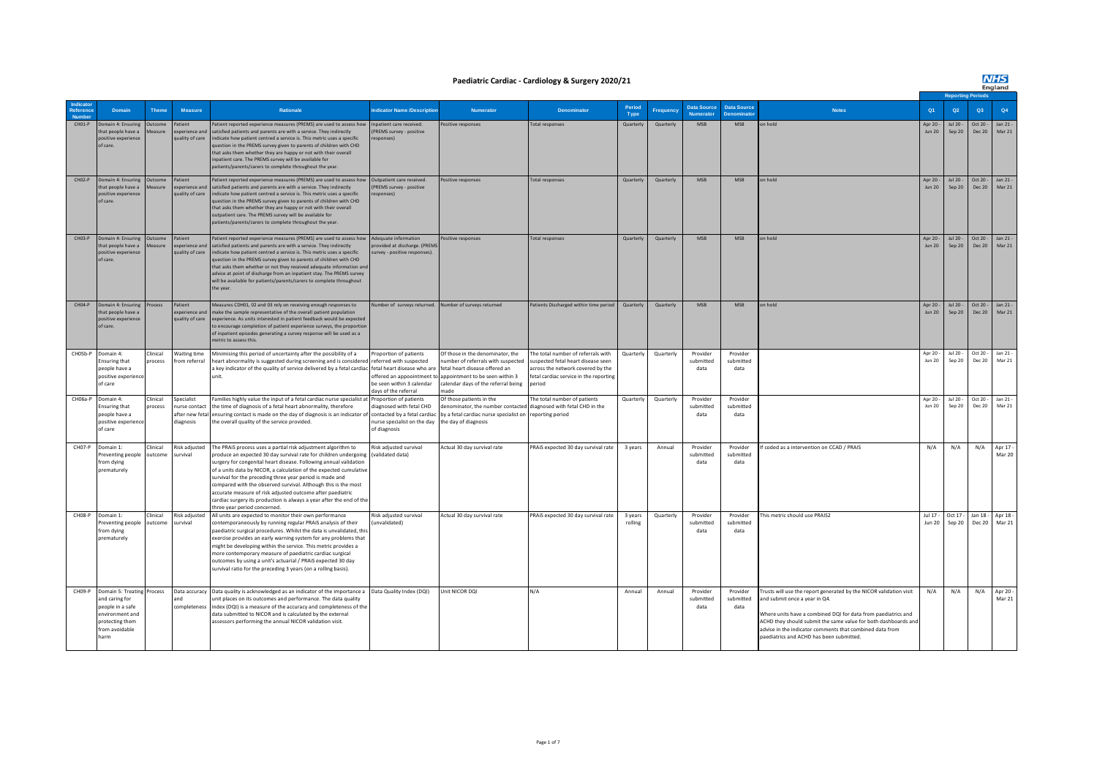#### **Paediatric Cardiac - Cardiology & Surgery 2020/21**

### **NHS**

|                    |                                                                                                                          |                                  |                                              |                                                                                                                                                                                                                                                                                                                                                                                                                                                                                                                                                                                  |                                                                                                           |                                                                                                                                                                                            |                                                                                                                                                                   |                    |           |                                        |                                         |                                                                                                                                                                                                                                                                                                                                                |                           | <b>Reporting Periods</b> |                           |                                    |  |  |  |
|--------------------|--------------------------------------------------------------------------------------------------------------------------|----------------------------------|----------------------------------------------|----------------------------------------------------------------------------------------------------------------------------------------------------------------------------------------------------------------------------------------------------------------------------------------------------------------------------------------------------------------------------------------------------------------------------------------------------------------------------------------------------------------------------------------------------------------------------------|-----------------------------------------------------------------------------------------------------------|--------------------------------------------------------------------------------------------------------------------------------------------------------------------------------------------|-------------------------------------------------------------------------------------------------------------------------------------------------------------------|--------------------|-----------|----------------------------------------|-----------------------------------------|------------------------------------------------------------------------------------------------------------------------------------------------------------------------------------------------------------------------------------------------------------------------------------------------------------------------------------------------|---------------------------|--------------------------|---------------------------|------------------------------------|--|--|--|
| eference           | <b>Domain</b>                                                                                                            | <b>Theme</b>                     | <b>Measure</b>                               | <b>Rationale</b>                                                                                                                                                                                                                                                                                                                                                                                                                                                                                                                                                                 | dicator Name /Descriptio                                                                                  | <b>Numerator</b>                                                                                                                                                                           | <b>Denominator</b>                                                                                                                                                | Period<br>Type     | Frequenc  | <b>Data Source</b><br><b>Numerator</b> | <b>Data Source</b><br><b>Denominato</b> | <b>Notes</b>                                                                                                                                                                                                                                                                                                                                   | Q <sub>1</sub>            | Q2                       | Q3                        | Q4                                 |  |  |  |
| $CHO1-P$           | Domain 4: Ensuring<br>that people have a<br>positive experience<br>of care.                                              | Outcome<br>Measure               | Patient<br>experience and<br>quality of care | Patient reported experience measures (PREMS) are used to assess how<br>satisfied patients and parents are with a service. They indirectly<br>indicate how patient centred a service is. This metric uses a specific<br>uestion in the PREMS survey given to parents of children with CHD<br>that asks them whether they are happy or not with their overall<br>npatient care. The PREMS survey will be available for<br>patients/parents/carers to complete throughout the year.                                                                                                 | Inpatient care received.<br>(PREMS survey - positive<br>esponses)                                         | Positive responses                                                                                                                                                                         | <b>Total responses</b>                                                                                                                                            | Quarterly          | Quarterly | MSB                                    | MSB                                     | on hold                                                                                                                                                                                                                                                                                                                                        | Apr 20 -<br><b>Jun 20</b> | Jul 20 -<br>Sep 20       | Oct 20 -<br><b>Dec 20</b> | Jan 21 -<br>Mar 21                 |  |  |  |
| $CHO2-P$           | Domain 4: Ensuring<br>that people have a<br>positive experience<br>of care                                               | Jutcome<br>deasure               | Patient<br>experience and<br>quality of care | Patient reported experience measures (PREMS) are used to assess how<br>satisfied patients and parents are with a service. They indirectly<br>indicate how patient centred a service is. This metric uses a specific<br>uestion in the PREMS survey given to parents of children with CHD<br>hat asks them whether they are happy or not with their overall<br>outpatient care. The PREMS survey will be available for<br>patients/parents/carers to complete throughout the year.                                                                                                | Outpatient care received.<br>PREMS survey - positive<br>sponses)                                          | Positive responses                                                                                                                                                                         | <b>Total responses</b>                                                                                                                                            | Quarterly          | Quarterly | <b>MSR</b>                             | <b>MSB</b>                              | on hold                                                                                                                                                                                                                                                                                                                                        | Apr 20<br><b>Jun 20</b>   | Jul 20<br>Sep 20         | Ort 20<br><b>Dec 20</b>   | Jan 21 -<br>Mar 21                 |  |  |  |
| CHO <sub>3-P</sub> | Domain 4: Ensuring<br>hat people have a<br>positive experience<br>of care.                                               | <b>Outcome</b><br><b>Measure</b> | Patient<br>xperience and<br>quality of care  | Patient reported experience measures (PREMS) are used to assess how<br>satisfied patients and parents are with a service. They indirectly<br>indicate how patient centred a service is. This metric uses a specific<br>question in the PREMS survey given to parents of children with CHD<br>that asks them whether or not they received adequate information and<br>advice at point of discharge from an inpatient stay. The PREMS survey<br>will be available for patients/parents/carers to complete throughout<br>the year.                                                  | Adequate informatio<br>rovided at discharge, (PREM<br>urvey - positive responses)                         | ositive responses                                                                                                                                                                          | <b>Total responses</b>                                                                                                                                            | Quarterly          | Quarterly | <b>MSB</b>                             | MSB                                     | on hold                                                                                                                                                                                                                                                                                                                                        | Apr 20 -<br><b>Jun 20</b> | Jul 20 -<br>Sep 20       | Oct 20 -<br>Dec 20        | Jan 21 -<br>Mar 21                 |  |  |  |
| CHO4-P             | Domain 4: Ensuring<br>that people have a<br>positive experience<br>of care.                                              | Process                          | Patient<br>experience and<br>quality of care | Measures CDH01, 02 and 03 rely on receiving enough responses to<br>make the sample representative of the overall patient population<br>experience. As units interested in patient feedback would be expected<br>to encourage completion of patient experience surveys, the proportion<br>of inpatient episodes generating a survey response will be used as a<br>metric to assess this.                                                                                                                                                                                          |                                                                                                           | lumber of surveys returned. Number of surveys returned                                                                                                                                     | Patients Discharged within time period                                                                                                                            | Quarterly          | Quarterly | MSB                                    | MSB                                     | on hold                                                                                                                                                                                                                                                                                                                                        | Apr 20<br><b>Jun 20</b>   | Jul 20 $-$<br>Sep 20     | Oct 20 -                  | Jan 21 -<br>Dec 20 Mar 21          |  |  |  |
| CH05b-P            | Domain 4<br>Ensuring that<br>people have a<br>positive experience<br>of care                                             | <b>linical</b><br>process        | Vaiting time<br>from referral                | Minimising this period of uncertainty after the possibility of a<br>heart abnormality is suggested during screening and is considered referred with suspected<br>a key indicator of the quality of service delivered by a fetal cardiac fetal heart disease who are<br>unit.                                                                                                                                                                                                                                                                                                     | Proportion of patients<br>offered an appoointment to<br>be seen within 3 calendar<br>days of the referral | Of those in the denominator, the<br>number of referrals with suspected<br>fetal heart disease offered an<br>appointment to be seen within 3<br>calendar days of the referral being<br>nade | The total number of referrals with<br>suspected fetal heart disease seen<br>across the network covered by the<br>fetal cardiac service in the reporting<br>period | Quarterly          | Quarterly | Provider<br>submitted<br>data          | Provider<br>submitted<br>data           |                                                                                                                                                                                                                                                                                                                                                | Apr 20<br>Jun 20          | Jul 20<br>Sep 20         | Oct 20 -                  | Jan 21<br>Dec 20 Mar 21            |  |  |  |
|                    | CH06a-P Domain 4:<br>Ensuring that<br>people have a<br>positive experience<br>of care                                    | <b>Clinical</b><br>process       | Specialist<br>diagnosis                      | Families highly value the input of a fetal cardiac nurse specialist at Proportion of patients<br>nurse contact the time of diagnosis of a fetal heart abnormality, therefore<br>after new fetal ensuring contact is made on the day of diagnosis is an indicator of<br>the overall quality of the service provided.                                                                                                                                                                                                                                                              | diagnosed with fetal CHD<br>contacted by a fetal cardiac<br>nurse specialist on the day<br>of diagnosis   | Of those patients in the<br>denominator, the number contacted diagnosed with fetal CHD in the<br>by a fetal cardiac nurse specialist on reporting period<br>the day of diagnosis           | The total number of patients                                                                                                                                      | Quarterly          | Quarterly | Provider<br>submitted<br>data          | Provider<br>submitted<br>data           |                                                                                                                                                                                                                                                                                                                                                | Apr 20 -<br>Jun 20        | Jul 20 -<br>Sep 20       | Oct 20 -                  | Jan 21-<br>Dec 20 Mar 21           |  |  |  |
| CHO7-P             | Domain 1:<br>Preventing people<br>from dying<br>prematurely                                                              | Clinical<br>outcome              | Risk adjusted<br>survival                    | The PRAIS process uses a partial risk adjustment algorithm to<br>produce an expected 30 day survival rate for children undergoing<br>surgery for congenital heart disease. Following annual validation<br>of a units data by NICOR, a calculation of the expected cumulative<br>survival for the preceding three year period is made and<br>compared with the observed survival. Although this is the most<br>accurate measure of risk adjusted outcome after paediatric<br>cardiac surgery its production is always a year after the end of the<br>three year period concerned. | Risk adjusted survival<br>(validated data)                                                                | Actual 30 day survival rate                                                                                                                                                                | PRAIS expected 30 day survival rate                                                                                                                               | 3 years            | Annual    | Provider<br>submitted<br>data          | Provider<br>submitted<br>data           | f coded as a intervention on CCAD / PRAIS                                                                                                                                                                                                                                                                                                      | N/A                       | N/A                      | N/A                       | Apr 17 -<br>Mar 20                 |  |  |  |
| CHO8-P             | Domain 1:<br>Preventing people<br>from dying<br>prematurely                                                              | Clinical<br>outcome              | Risk adjusted<br>survival                    | All units are expected to monitor their own performance<br>contemporaneously by running regular PRAiS analysis of their<br>paediatric surgical procedures. Whilst the data is unvalidated, this<br>exercise provides an early warning system for any problems that<br>might be developing within the service. This metric provides a<br>more contemporary measure of paediatric cardiac surgical<br>outcomes by using a unit's actuarial / PRAiS expected 30 day<br>survival ratio for the preceding 3 years (on a rolling basis).                                               | Risk adjusted survival<br>unvalidated)                                                                    | Actual 30 day survival rate                                                                                                                                                                | PRAIS expected 30 day survival rate                                                                                                                               | 3 years<br>rolling | Quarterly | Provider<br>submitted<br>data          | Provider<br>submitted<br>data           | This metric should use PRAIS2                                                                                                                                                                                                                                                                                                                  | Jul 17 -<br><b>Jun 20</b> | Oct 17 -<br>Sep 20       |                           | Jan 18 - Apr 18 -<br>Dec 20 Mar 21 |  |  |  |
| CH09-P             | Domain 5: Treating<br>and caring for<br>people in a safe<br>environment and<br>protecting them<br>from avoidable<br>harm | Process                          | Data accuracy<br>and<br>completeness         | Data quality is acknowledged as an indicator of the importance a Data Quality Index (DQI)<br>unit places on its outcomes and performance. The data quality<br>index (DQI) is a measure of the accuracy and completeness of the<br>data submitted to NICOR and is calculated by the external<br>assessors performing the annual NICOR validation visit.                                                                                                                                                                                                                           |                                                                                                           | Unit NICOR DQI                                                                                                                                                                             | N/A                                                                                                                                                               | Annual             | Annual    | Provider<br>submitted<br>data          | Provider<br>submitted<br>data           | Trusts will use the report generated by the NICOR validation visit<br>and submit once a year in Q4.<br>Where units have a combined DQI for data from paediatrics and<br>ACHD they should submit the same value for both dashboards and<br>advise in the indicator comments that combined data from<br>paediatrics and ACHD has been submitted. | N/A                       | N/A                      | N/A                       | Apr 20 -<br>Mar 21                 |  |  |  |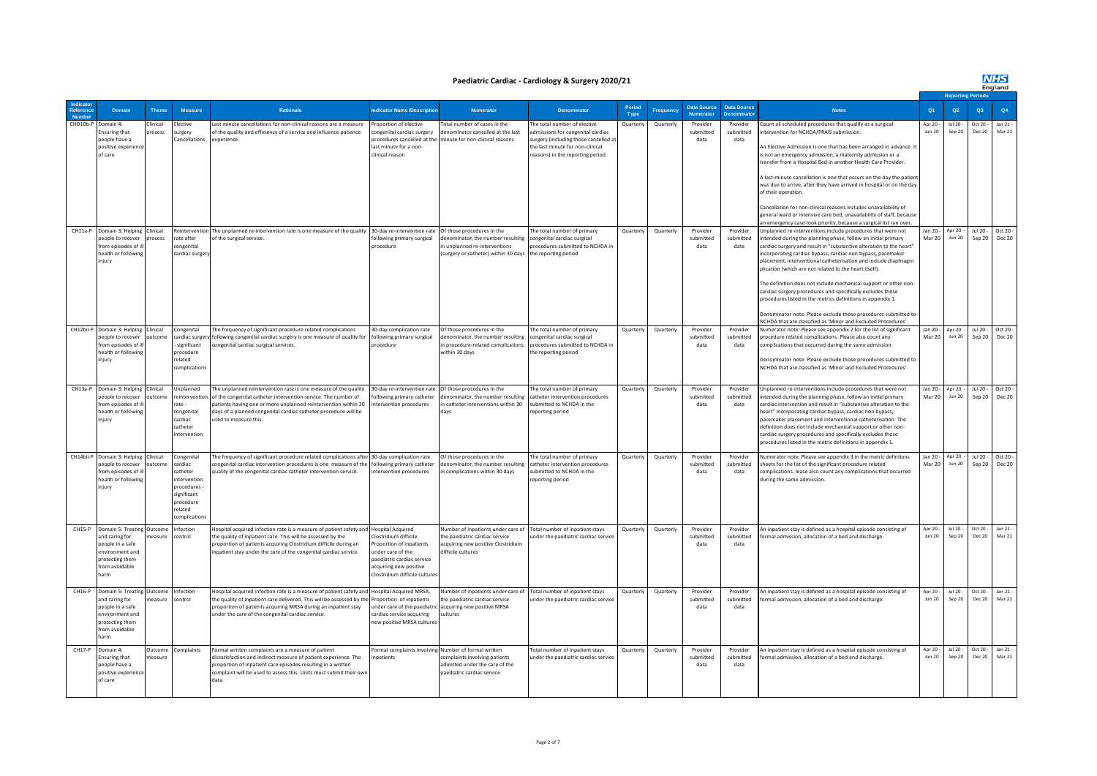**NHS**<br>England

#### **Paediatric Cardiac - Cardiology & Surgery 2020/21**

|           |                                                                                                                                  |                     |                                                                                                                         |                                                                                                                                                                                                                                                                                                                      |                                                                                                                                                              |                                                                                                                                        |                                                                                                                                                                                   |                |                 |                               |                               |                                                                                                                                                                                                                                                                                                                                                                                                                                                                                                                                                                                                                                                                                                                                     |                           |                         | <b>Reporting Periods</b>  |                             |
|-----------|----------------------------------------------------------------------------------------------------------------------------------|---------------------|-------------------------------------------------------------------------------------------------------------------------|----------------------------------------------------------------------------------------------------------------------------------------------------------------------------------------------------------------------------------------------------------------------------------------------------------------------|--------------------------------------------------------------------------------------------------------------------------------------------------------------|----------------------------------------------------------------------------------------------------------------------------------------|-----------------------------------------------------------------------------------------------------------------------------------------------------------------------------------|----------------|-----------------|-------------------------------|-------------------------------|-------------------------------------------------------------------------------------------------------------------------------------------------------------------------------------------------------------------------------------------------------------------------------------------------------------------------------------------------------------------------------------------------------------------------------------------------------------------------------------------------------------------------------------------------------------------------------------------------------------------------------------------------------------------------------------------------------------------------------------|---------------------------|-------------------------|---------------------------|-----------------------------|
|           | <b>Domair</b>                                                                                                                    | <b>Theme</b>        | <b>Measure</b>                                                                                                          | <b>Rationale</b>                                                                                                                                                                                                                                                                                                     | dicator Name /Descriptic                                                                                                                                     | <b>Numerator</b>                                                                                                                       | <b>Denominator</b>                                                                                                                                                                | Period<br>Type | <b>Frequenc</b> | Data Source<br>Numerator      | <b>Data Source</b>            | <b>Notes</b>                                                                                                                                                                                                                                                                                                                                                                                                                                                                                                                                                                                                                                                                                                                        | Q1                        | Q2                      | Q3                        | Q4                          |
| CHD10b-F  | Jomain 4:<br>insuring that<br>people have a<br>positive experien<br>of care                                                      | Clinical<br>process | lective<br>urgery<br>ancellations                                                                                       | Last minute cancellations for non-clinical reasons are a measure<br>of the quality and efficiency of a service and influence patience<br>experience.                                                                                                                                                                 | Proportion of elective<br>ongenital cardiac surgery<br>rocedures cancelled at the<br>last minute for a non-<br>clinical reason                               | otal number of cases in the<br>enominator cancelled at the last<br>ninute for non-clinical reasons                                     | he total number of elective<br>admissions for congenital cardiac<br>surgery (including those cancelled at<br>the last minute for non-clinical<br>reasons) in the reporting period | Quarterly      | Quarterly       | Provider<br>submitted<br>data | Provider<br>submitted<br>data | Count all scheduled procedures that qualify as a surgical<br>intervention for NCHDA/PRAiS submission.<br>An Elective Admission is one that has been arranged in advance. It<br>is not an emergency admission, a maternity admission or a<br>transfer from a Hospital Bed in another Health Care Provider.<br>A last-minute cancellation is one that occurs on the day the patien<br>was due to arrive, after they have arrived in hospital or on the day<br>of their operation.<br>Cancellation for non-clinical reasons includes unavailability of<br>general ward or intensive care hed, unavailability of staff, because<br>an emergency case took priority, because a surgical list ran over,                                   | Apr 20 -<br><b>Jun 20</b> | Jul 20 -<br>Sep 20      | Oct 20<br><b>Dec 20</b>   | Jan 21 -<br>Mar 21          |
| CH11a-P   | Domain 3: Helping<br>people to recover<br>from episodes of<br>health or following<br>injury                                      | Clinical<br>process | rate after<br>congenital<br>cardiac surger                                                                              | teintervention The unplanned re-intervention rate is one measure of the quality 30-day re-intervention rate<br>of the surgical service.                                                                                                                                                                              | following primary surgical<br>procedure                                                                                                                      | Of those procedures in the<br>lenominator, the number resulting<br>n unplanned re-interventions<br>surgery or catheter) within 30 days | The total number of primary<br>congenital cardiac surgical<br>procedures submitted to NCHDA in<br>the reporting period                                                            | Quarterly      | Quarterly       | Provider<br>submitted<br>data | Provider<br>submitted<br>data | Unplanned re-interventions include procedures that were not<br>intended during the planning phase, follow an initial primary<br>cardiac surgery and result in "substantive alteration to the heart"<br>incorporating cardiac bypass, cardiac non bypass, pacemaker<br>placement, interventional catheterisation and include diaphragm<br>plication (which are not related to the heart itself).<br>The definition does not include mechanical support or other non-<br>cardiac surgery procedures and specifically excludes those<br>procedures listed in the metrics definitions in appendix 1.<br>Denominator note: Please exclude those procedures submitted to<br>NCHDA that are classified as 'Minor and Excluded Procedures'. | lan 20.<br><b>Mar 20</b>  | Apr 20<br><b>Jun 20</b> | Jul 20 -<br>Sep 20        | Oct 20 -<br><b>Dec 20</b>   |
|           | CH12bii-P Domain 3: Helping<br>beople to recover<br>from enisodes of<br>health or following<br>injury                            | Clinical<br>tcome   | Congenital<br>cardiac surger<br>significant<br>procedure<br>related<br>complications                                    | The frequency of significant procedure related complications<br>following congenital cardiac surgery is one measure of quality for<br>ongenital cardiac surgical services.                                                                                                                                           | 30-day complication rate<br>following primary surgical<br>procedure                                                                                          | Of those procedures in the<br>enominator, the number resulting<br>n procedure-related complications<br>within 30 days                  | The total number of primary<br>congenital cardiac surgical<br>procedures submitted to NCHDA in<br>the reporting period                                                            | Quarterly      | Quarterly       | Provider<br>submitted<br>data | Provider<br>submitted<br>data | Numerator note: Please see appendix 2 for the list of significant<br>procedure related complications. Please also count any<br>complications that occurred during the same admission.<br>Denominator note: Please exclude those procedures submitted to<br>NCHDA that are classified as 'Minor and Excluded Procedures'.                                                                                                                                                                                                                                                                                                                                                                                                            | Jan 20 -<br><b>Mar 20</b> | Apr 20<br><b>Jun 20</b> | Sep 20                    | Jul 20 - Oct 20 -<br>Dec 20 |
| CH13a-P   | Domain 3: Helping Clinical<br>people to recover<br>from episodes of i<br>health or following<br>injury                           | outcome             | Innlanned<br>reintervention<br>rate -<br>congenital<br>cardiac<br>catheter<br>ntervention                               | The unplanned reintervention rate is one measure of the quality<br>of the congenital catheter intervention service. The number of<br>patients having one or more unplanned reintervention within 30<br>days of a planned congenital cardiac catheter procedure will be<br>used to measure this                       | 30-day re-intervention rate<br>ollowing primary catheter<br>tervention procedures                                                                            | Of those procedures in the<br>denominator, the number resulting<br>n catheter interventions within 30<br>days                          | The total number of primary<br>catheter intervention procedures<br>submitted to NCHDA in the<br>reporting period                                                                  | Quarterly      | Quarterly       | Provider<br>submitted<br>data | Provider<br>submitted<br>data | Inplanned re-interventions include procedures that were not<br>intended during the planning phase, follow an initial primary<br>cardiac intervention and result in "substantive alteration to the<br>heart" incorporating cardiac bypass, cardiac non bypass,<br>pacemaker placement and interventional catheterisation. The<br>definition does not include mechanical support or other non-<br>cardiac surgery procedures and specifically excludes those<br>procedures listed in the metric definitions in appendix 1.                                                                                                                                                                                                            | lan 20-<br><b>Mar 20</b>  | Apr 20<br><b>Jun 20</b> | $\ln 20 -$<br>Sep 20      | Ort 20<br><b>Dec 20</b>     |
| CH14bii-P | Domain 3: Helping<br>people to recover<br>from episodes of<br>health or followin<br>injury                                       | Clinical<br>utcome  | Congenital<br>rardiac<br>catheter<br>ntervention<br>procedures -<br>significant<br>procedure<br>related<br>omplications | The frequency of significant procedure related complications after 30-day complication rate<br>congenital cardiac intervention procedures is one measure of the following primary catheter<br>quality of the congenital cardiac catheter intervention service.                                                       | intervention procedures                                                                                                                                      | Of those procedures in the<br>lenominator, the number resulting<br>n complications within 30 days                                      | The total number of primary<br>catheter intervention procedures<br>ubmitted to NCHDA in the<br>eporting period                                                                    | Quarterly      | Quarterly       | Provider<br>submitted<br>data | Provider<br>submitted<br>data | Numerator note: Please see appendix 3 in the metric defintions<br>sheets for the list of the significant procedure related<br>complications. lease also count any complications that occurred<br>during the same admission.                                                                                                                                                                                                                                                                                                                                                                                                                                                                                                         | Jan 20 -<br>Mar 20        | Apr 20<br><b>Jun 20</b> | Jul 20 -<br>Sep 20        | Oct 20 -<br>Dec 20          |
| CH15-P    | Domain 5: Treating Outcome<br>and caring for<br>people in a safe<br>environment and<br>protecting them<br>from avoidable<br>harm | measure             | nfection<br>control                                                                                                     | Hospital acquired infection rate is a measure of patient safety and Hospital Acquired<br>the quality of inpatient care. This will be assessed by the<br>proportion of patients acquiring Clostridium difficile during an<br>npatient stay under the care of the congenital cardiac service.                          | lostridium difficile<br>oportion of inpatients<br>nder care of the<br>paediatric cardiac service<br>acquiring new positive<br>Clostridium difficile culture: | lumber of inpatients under care of<br>he naediatric cardiac service<br>cquiring new positive Clostridium<br>lifficile cultures         | Total number of inpatient stays<br>under the paediatric cardiac service                                                                                                           | Quarterly      | Quarterly       | Provider<br>submitted<br>data | Provider<br>submitted<br>data | An inpatient stay is defined as a hospital episode consisting of<br>formal admission, allocation of a bed and discharge.                                                                                                                                                                                                                                                                                                                                                                                                                                                                                                                                                                                                            | Apr 20<br><b>Jun 20</b>   | ln 120<br>Sep 20        | $Qrf$ 20<br><b>Dec 20</b> | Jan 21<br>Mar 21            |
| $CH16-P$  | Domain 5: Treating Outcome<br>and caring for<br>people in a safe<br>environment and<br>protecting them<br>from avoidable<br>arm  | measure             | Infection<br>control                                                                                                    | Hospital acquired infection rate is a measure of patient safety and Hospital Acquired MRSA.<br>the quality of inpatient care delivered. This will be assessed by the Proportion of inpatients<br>proportion of patients acquiring MRSA during an inpatient stay<br>under the care of the congenital cardiac service. | under care of the paediatric<br>cardiac service acquiring<br>new nositive MRSA culture                                                                       | Number of inpatients under care of<br>the paediatric cardiac service<br>acquiring new positive MRSA<br>cultures                        | Total number of innatient stays<br>under the paediatric cardiac servio                                                                                                            | Quarterly      | Quarterly       | Provider<br>submitted<br>data | Provider<br>submitted<br>data | An inpatient stay is defined as a hospital episode consisting of<br>formal admission, allocation of a bed and discharge.                                                                                                                                                                                                                                                                                                                                                                                                                                                                                                                                                                                                            | Apr 20 -<br>Jun 20        | $ln 120 -$<br>Sep 20    | $Ort 20 -$<br>Dec 20      | lan 21<br>Mar 21            |
| $CH17-P$  | Domain 4<br>insuring that<br>people have a<br>positive experience<br>of care                                                     | Outcome<br>heasure  | complaints                                                                                                              | Formal written complaints are a measure of patient<br>lissatisfaction and indirect measure of patient experience. The<br>roportion of inpatient care episodes resulting in a written<br>complaint will be used to assess this. Units must submit their own<br>data.                                                  | ormal complaints involving<br>patients                                                                                                                       | Number of formal written<br>omplaints involving patients<br>dmitted under the care of the<br>aediatric cardiac service                 | Total number of inpatient stays<br>inder the paediatric cardiac service                                                                                                           | Quarterly      | Quarterly       | Provider<br>submitted<br>data | Provider<br>submitted<br>data | An inpatient stay is defined as a hospital episode consisting of<br>formal admission, allocation of a bed and discharge.                                                                                                                                                                                                                                                                                                                                                                                                                                                                                                                                                                                                            | Apr 20<br><b>Jun 20</b>   | Jul 20 -<br>Sep 20      | Oct 20 -<br>Dec 20        | Jan 21 -<br>Mar 21          |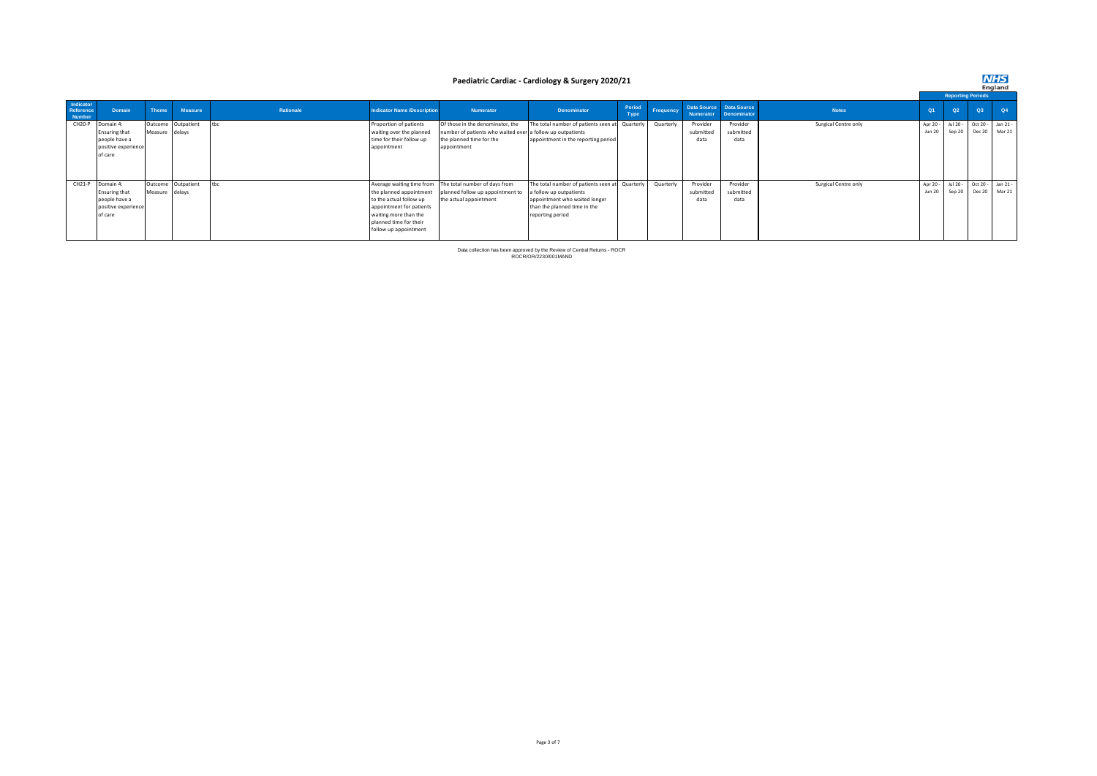#### **Paediatric Cardiac - Cardiology & Surgery 2020/21**

|                                  |                      |                |                    |           |                                    |                                                            |                                                |                |           |           |                                               |                      |               | <b>Reporting Periods</b> |                   |    |
|----------------------------------|----------------------|----------------|--------------------|-----------|------------------------------------|------------------------------------------------------------|------------------------------------------------|----------------|-----------|-----------|-----------------------------------------------|----------------------|---------------|--------------------------|-------------------|----|
| Indicator<br>Reference<br>Number | Domain               | Theme          | Measure            | Rationale | <b>Indicator Name /Description</b> | Numerator                                                  | <b>Denominator</b>                             | Period<br>Type | Frequency | Numerator | Data Source Data Source<br><b>Denominator</b> | <b>Notes</b>         | Q1            | Q2                       | Q3                | Q4 |
| CH <sub>20-P</sub>               | Domain 4:            |                | Outcome Outpatient | tbc       | Proportion of patients             | Of those in the denominator, the                           | The total number of patients seen at Quarterly |                | Quarterly | Provider  | Provider                                      | Surgical Centre only | Apr 20 -      | Jul 20 -                 | Oct 20 - Jan 21 - |    |
|                                  | <b>Ensuring that</b> | Measure delays |                    |           | waiting over the planned           | number of patients who waited over a follow up outpatients |                                                |                |           | submitted | submitted                                     |                      | <b>Jun 20</b> | Sep 20                   | Dec 20 Mar 21     |    |
|                                  | people have a        |                |                    |           | time for their follow up           | the planned time for the                                   | appointment in the reporting period            |                |           | data      | data                                          |                      |               |                          |                   |    |
|                                  | positive experience  |                |                    |           | appointment                        | appointment                                                |                                                |                |           |           |                                               |                      |               |                          |                   |    |
|                                  | of care              |                |                    |           |                                    |                                                            |                                                |                |           |           |                                               |                      |               |                          |                   |    |
|                                  |                      |                |                    |           |                                    |                                                            |                                                |                |           |           |                                               |                      |               |                          |                   |    |
|                                  |                      |                |                    |           |                                    |                                                            |                                                |                |           |           |                                               |                      |               |                          |                   |    |
|                                  | CH21-P Domain 4:     |                | Outcome Outpatient | tbc       |                                    | Average waiting time from The total number of days from    | The total number of patients seen at Quarterly |                | Quarterly | Provider  | Provider                                      | Surgical Centre only | Apr 20 -      | Jul 20 -                 | Oct 20 - Jan 21 - |    |
|                                  | <b>Ensuring that</b> | Measure delays |                    |           | the planned appointment            | planned follow up appointment to                           | a follow up outpatients                        |                |           | submitted | submitted                                     |                      | <b>Jun 20</b> | Sep 20                   | Dec 20 Mar 21     |    |
|                                  | people have a        |                |                    |           | to the actual follow up            | the actual appointment                                     | appointment who waited longer                  |                |           | data      | data                                          |                      |               |                          |                   |    |
|                                  | positive experience  |                |                    |           | appointment for patients           |                                                            | than the planned time in the                   |                |           |           |                                               |                      |               |                          |                   |    |
|                                  | of care              |                |                    |           | waiting more than the              |                                                            | reporting period                               |                |           |           |                                               |                      |               |                          |                   |    |
|                                  |                      |                |                    |           | planned time for their             |                                                            |                                                |                |           |           |                                               |                      |               |                          |                   |    |
|                                  |                      |                |                    |           | follow up appointment              |                                                            |                                                |                |           |           |                                               |                      |               |                          |                   |    |
|                                  |                      |                |                    |           |                                    |                                                            |                                                |                |           |           |                                               |                      |               |                          |                   |    |

Data collection has been approved by the Review of Central Returns - ROCR ROCR/OR/2230/001MAND

## **NHS**<br>England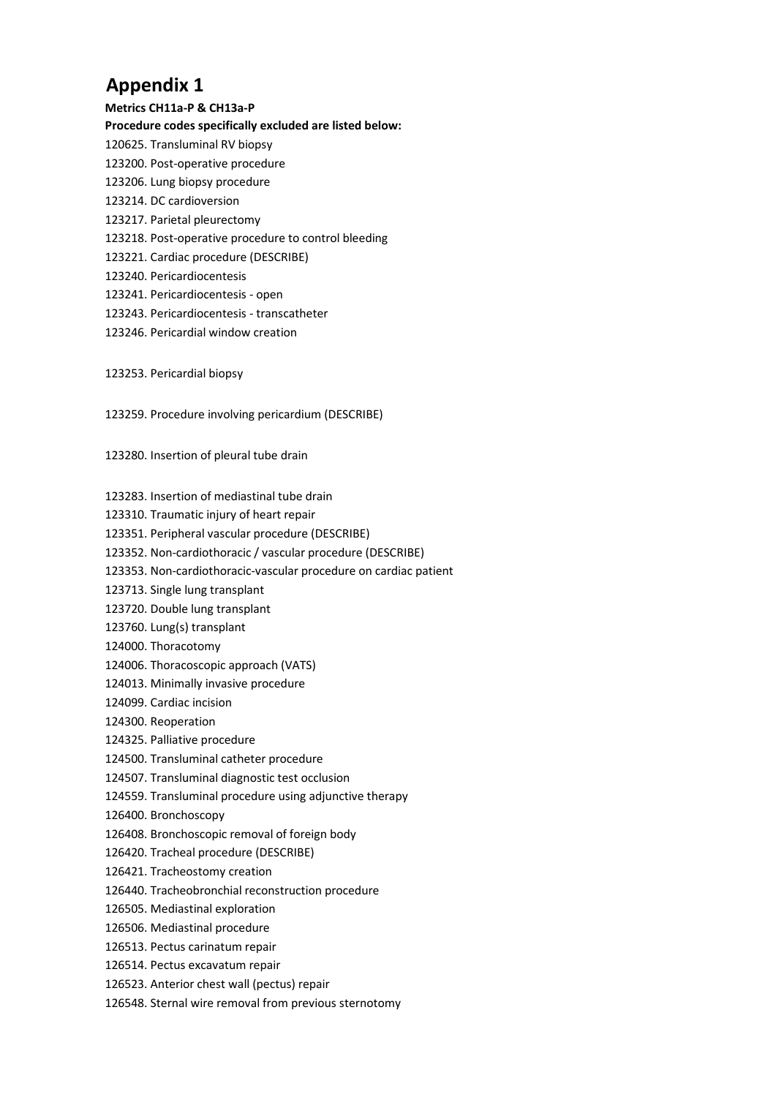# **Appendix 1**

- **Metrics CH11a-P & CH13a-P Procedure codes specifically excluded are listed below:**  120625. Transluminal RV biopsy 123200. Post-operative procedure 123206. Lung biopsy procedure 123214. DC cardioversion 123217. Parietal pleurectomy 123218. Post-operative procedure to control bleeding 123221. Cardiac procedure (DESCRIBE) 123240. Pericardiocentesis 123241. Pericardiocentesis - open 123243. Pericardiocentesis - transcatheter 123246. Pericardial window creation
- 123253. Pericardial biopsy
- 123259. Procedure involving pericardium (DESCRIBE)

123280. Insertion of pleural tube drain

- 123283. Insertion of mediastinal tube drain
- 123310. Traumatic injury of heart repair
- 123351. Peripheral vascular procedure (DESCRIBE)
- 123352. Non-cardiothoracic / vascular procedure (DESCRIBE)
- 123353. Non-cardiothoracic-vascular procedure on cardiac patient
- 123713. Single lung transplant
- 123720. Double lung transplant
- 123760. Lung(s) transplant
- 124000. Thoracotomy
- 124006. Thoracoscopic approach (VATS)
- 124013. Minimally invasive procedure
- 124099. Cardiac incision
- 124300. Reoperation
- 124325. Palliative procedure
- 124500. Transluminal catheter procedure
- 124507. Transluminal diagnostic test occlusion
- 124559. Transluminal procedure using adjunctive therapy
- 126400. Bronchoscopy
- 126408. Bronchoscopic removal of foreign body
- 126420. Tracheal procedure (DESCRIBE)
- 126421. Tracheostomy creation
- 126440. Tracheobronchial reconstruction procedure
- 126505. Mediastinal exploration
- 126506. Mediastinal procedure
- 126513. Pectus carinatum repair
- 126514. Pectus excavatum repair
- 126523. Anterior chest wall (pectus) repair
- 126548. Sternal wire removal from previous sternotomy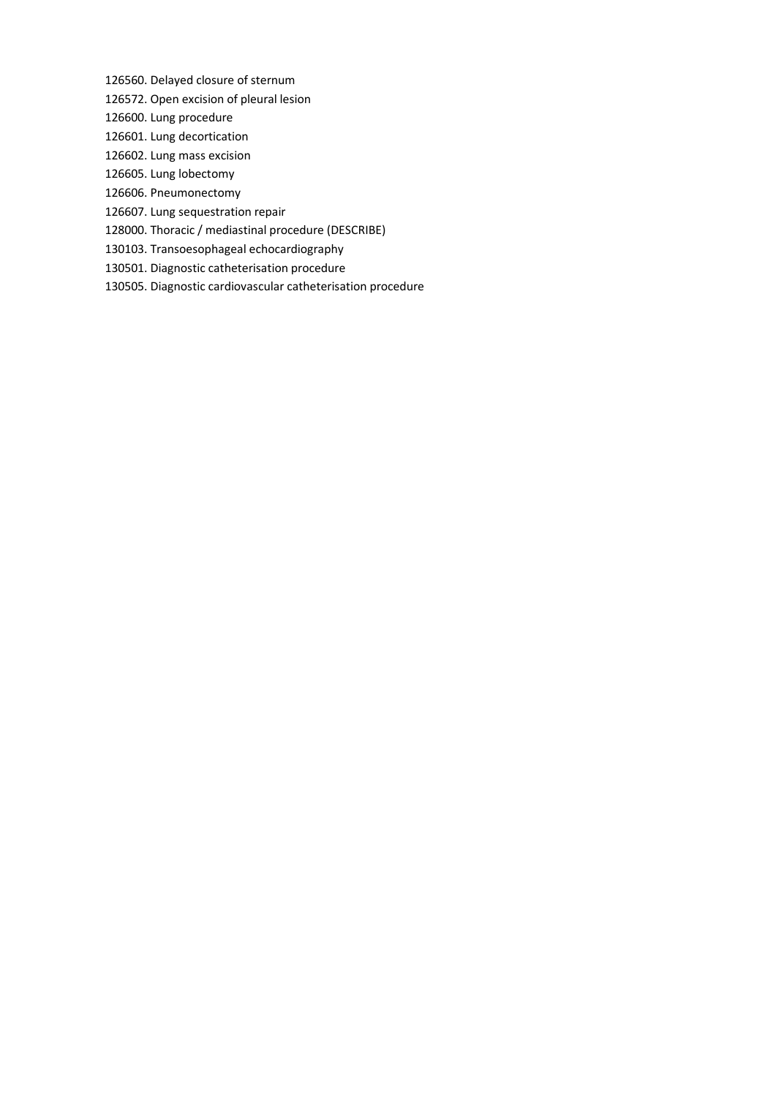126560. Delayed closure of sternum

- 126572. Open excision of pleural lesion
- 126600. Lung procedure
- 126601. Lung decortication
- 126602. Lung mass excision
- 126605. Lung lobectomy
- 126606. Pneumonectomy
- 126607. Lung sequestration repair
- 128000. Thoracic / mediastinal procedure (DESCRIBE)
- 130103. Transoesophageal echocardiography
- 130501. Diagnostic catheterisation procedure
- 130505. Diagnostic cardiovascular catheterisation procedure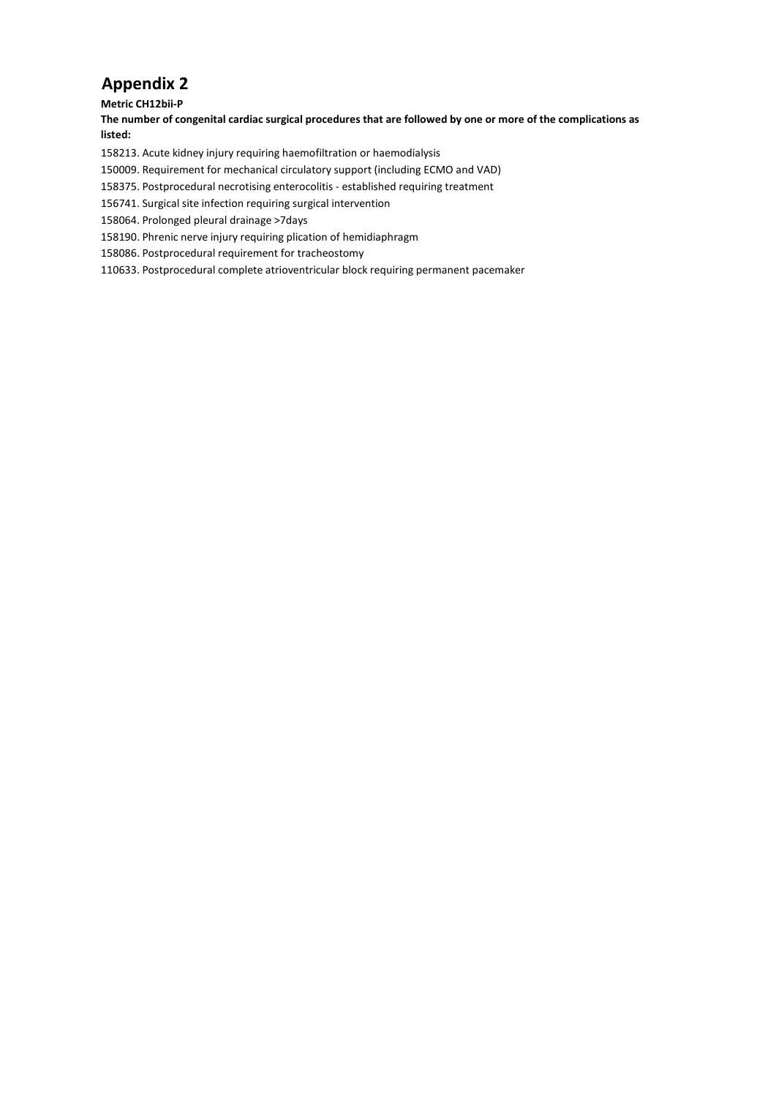## **Appendix 2**

**Metric CH12bii-P** 

**The number of congenital cardiac surgical procedures that are followed by one or more of the complications as listed:** 

158213. Acute kidney injury requiring haemofiltration or haemodialysis

150009. Requirement for mechanical circulatory support (including ECMO and VAD)

158375. Postprocedural necrotising enterocolitis - established requiring treatment

156741. Surgical site infection requiring surgical intervention

158064. Prolonged pleural drainage >7days

158190. Phrenic nerve injury requiring plication of hemidiaphragm

158086. Postprocedural requirement for tracheostomy

110633. Postprocedural complete atrioventricular block requiring permanent pacemaker